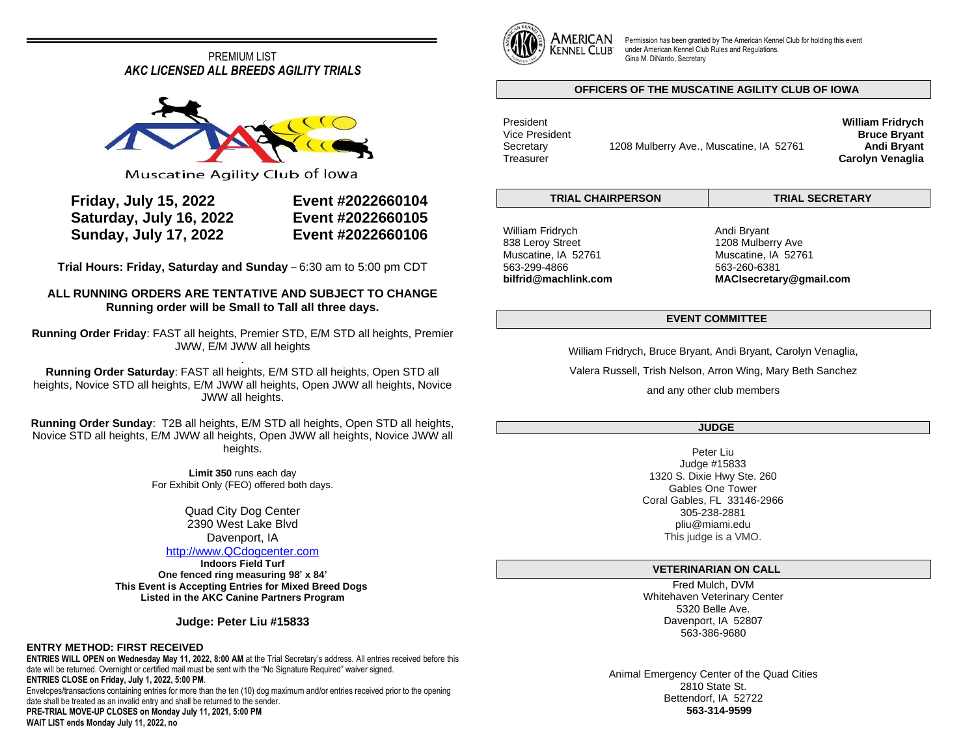# PREMIUM LIST *AKC LICENSED ALL BREEDS AGILITY TRIALS*



Muscatine Agility Club of lowa

| <b>Friday, July 15, 2022</b> |  |
|------------------------------|--|
| Saturday, July 16, 2022      |  |
| <b>Sunday, July 17, 2022</b> |  |

**Friday, July 15, 2022 Event #2022660104 Saturday, July 16, 2022 Event #2022660105 Sunday, July 17, 2022 Event #2022660106**

**Trial Hours: Friday, Saturday and Sunday** – 6:30 am to 5:00 pm CDT

## **ALL RUNNING ORDERS ARE TENTATIVE AND SUBJECT TO CHANGE Running order will be Small to Tall all three days.**

**Running Order Friday**: FAST all heights, Premier STD, E/M STD all heights, Premier JWW, E/M JWW all heights

. **Running Order Saturday**: FAST all heights, E/M STD all heights, Open STD all heights, Novice STD all heights, E/M JWW all heights, Open JWW all heights, Novice JWW all heights.

**Running Order Sunday**: T2B all heights, E/M STD all heights, Open STD all heights, Novice STD all heights, E/M JWW all heights, Open JWW all heights, Novice JWW all heights.

> **Limit 350** runs each day For Exhibit Only (FEO) offered both days.

> > Quad City Dog Center 2390 West Lake Blvd Davenport, IA

## [http://www.QCdogcenter.com](http://www.qcdogcenter.com/)

**Indoors Field Turf One fenced ring measuring 98' x 84' This Event is Accepting Entries for Mixed Breed Dogs Listed in the AKC Canine Partners Program**

**Judge: Peter Liu #15833**

## **ENTRY METHOD: FIRST RECEIVED**

**ENTRIES WILL OPEN on Wednesday May 11, 2022, 8:00 AM** at the Trial Secretary's address. All entries received before this date will be returned. Overnight or certified mail must be sent with the "No Signature Required" waiver signed. **ENTRIES CLOSE on Friday, July 1, 2022, 5:00 PM**.

Envelopes/transactions containing entries for more than the ten (10) dog maximum and/or entries received prior to the opening date shall be treated as an invalid entry and shall be returned to the sender.

**PRE-TRIAL MOVE-UP CLOSES on Monday July 11, 2021, 5:00 PM WAIT LIST ends Monday July 11, 2022, no**



Permission has been granted by The American Kennel Club for holding this event under American Kennel Club Rules and Regulations. Gina M. DiNardo, Secretary

## **OFFICERS OF THE MUSCATINE AGILITY CLUB OF IOWA**

President Vice President Secretary 1208 Mulberry Ave., Muscatine, IA 52761 **Treasurer** 

**TRIAL CHAIRPERSON TRIAL SECRETARY**

William Fridrych 838 Leroy Street Muscatine, IA 52761 563-299-4866 **bilfrid@machlink.com** Andi Bryant 1208 Mulberry Ave Muscatine, IA 52761 563-260-6381 **MACIsecretary@gmail.com**

**William Fridrych Bruce Bryant Andi Bryant Carolyn Venaglia**

## **EVENT COMMITTEE**

William Fridrych, Bruce Bryant, Andi Bryant, Carolyn Venaglia,

Valera Russell, Trish Nelson, Arron Wing, Mary Beth Sanchez

and any other club members

## **JUDGE**

Peter Liu Judge #15833 1320 S. Dixie Hwy Ste. 260 Gables One Tower Coral Gables, FL 33146-2966 305-238-2881 pliu@miami.edu This judge is a VMO.

## **VETERINARIAN ON CALL**

Fred Mulch, DVM Whitehaven Veterinary Center 5320 Belle Ave. Davenport, IA 52807 563-386-9680

Animal Emergency Center of the Quad Cities 2810 State St. Bettendorf, IA 52722 **563-314-9599**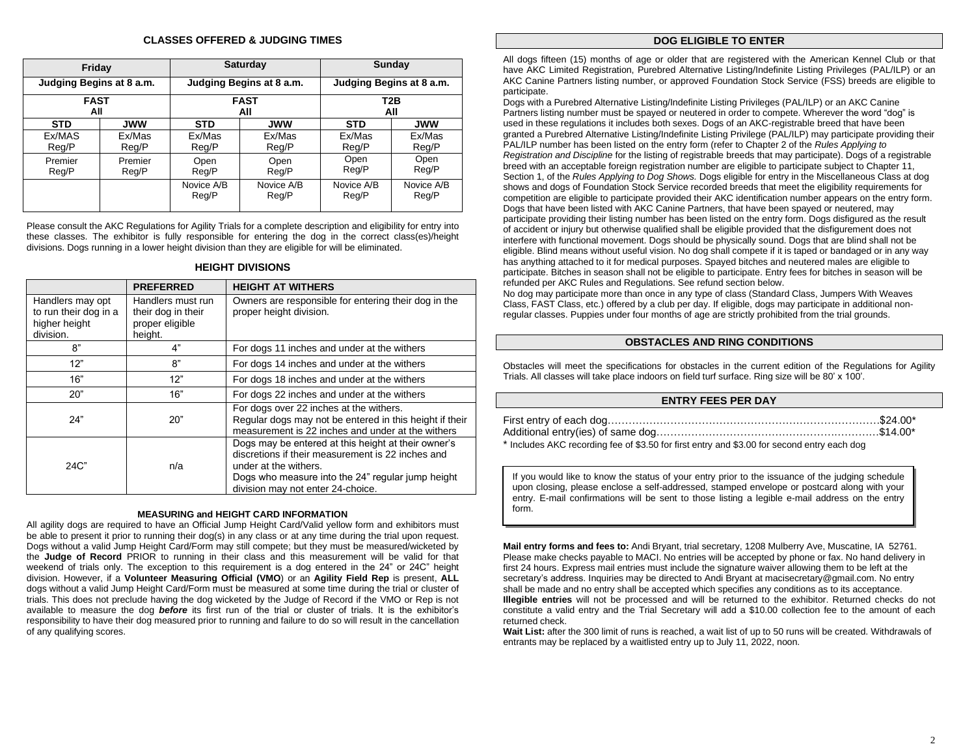## **CLASSES OFFERED & JUDGING TIMES**

| Friday                   |                  |                          | Saturday                         | Sunday                   |                     |  |
|--------------------------|------------------|--------------------------|----------------------------------|--------------------------|---------------------|--|
| Judging Begins at 8 a.m. |                  | Judging Begins at 8 a.m. |                                  | Judging Begins at 8 a.m. |                     |  |
| <b>FAST</b><br>All       |                  |                          | <b>FAST</b><br>T2B<br>All<br>All |                          |                     |  |
| <b>STD</b>               | <b>JWW</b>       | <b>STD</b>               | <b>JWW</b>                       | <b>STD</b>               | <b>JWW</b>          |  |
| Ex/MAS<br>Reg/P          | Ex/Mas<br>Reg/P  | Ex/Mas<br>Reg/P          | Ex/Mas<br>Reg/P                  | Ex/Mas<br>Reg/P          | Ex/Mas<br>Reg/P     |  |
| Premier<br>Reg/P         | Premier<br>Reg/P | Open<br>Reg/P            | Open<br>Reg/P                    | Open<br>Reg/P            | Open<br>Reg/P       |  |
|                          |                  | Novice A/B<br>Reg/P      | Novice A/B<br>Reg/P              | Novice A/B<br>Reg/P      | Novice A/B<br>Reg/P |  |

Please consult the AKC Regulations for Agility Trials for a complete description and eligibility for entry into these classes. The exhibitor is fully responsible for entering the dog in the correct class(es)/height divisions. Dogs running in a lower height division than they are eligible for will be eliminated.

### **HEIGHT DIVISIONS**

|                                                                         | <b>PREFERRED</b>                                                      | <b>HEIGHT AT WITHERS</b>                                                                                                                                                                                                    |
|-------------------------------------------------------------------------|-----------------------------------------------------------------------|-----------------------------------------------------------------------------------------------------------------------------------------------------------------------------------------------------------------------------|
| Handlers may opt<br>to run their dog in a<br>higher height<br>division. | Handlers must run<br>their dog in their<br>proper eligible<br>height. | Owners are responsible for entering their dog in the<br>proper height division.                                                                                                                                             |
| 8"                                                                      | 4"                                                                    | For dogs 11 inches and under at the withers                                                                                                                                                                                 |
| 12"                                                                     | 8"                                                                    | For dogs 14 inches and under at the withers                                                                                                                                                                                 |
| 16"                                                                     | 12"                                                                   | For dogs 18 inches and under at the withers                                                                                                                                                                                 |
| 20"                                                                     | 16"                                                                   | For dogs 22 inches and under at the withers                                                                                                                                                                                 |
| 24"                                                                     | 20"                                                                   | For dogs over 22 inches at the withers.<br>Regular dogs may not be entered in this height if their<br>measurement is 22 inches and under at the withers                                                                     |
| 24C"                                                                    | n/a                                                                   | Dogs may be entered at this height at their owner's<br>discretions if their measurement is 22 inches and<br>under at the withers.<br>Dogs who measure into the 24" regular jump height<br>division may not enter 24-choice. |

#### **MEASURING and HEIGHT CARD INFORMATION**

All agility dogs are required to have an Official Jump Height Card/Valid yellow form and exhibitors must be able to present it prior to running their dog(s) in any class or at any time during the trial upon request. Dogs without a valid Jump Height Card/Form may still compete; but they must be measured/wicketed by the **Judge of Record** PRIOR to running in their class and this measurement will be valid for that weekend of trials only. The exception to this requirement is a dog entered in the 24" or 24C" height division. However, if a **Volunteer Measuring Official (VMO**) or an **Agility Field Rep** is present, **ALL** dogs without a valid Jump Height Card/Form must be measured at some time during the trial or cluster of trials. This does not preclude having the dog wicketed by the Judge of Record if the VMO or Rep is not available to measure the dog *before* its first run of the trial or cluster of trials. It is the exhibitor's responsibility to have their dog measured prior to running and failure to do so will result in the cancellation of any qualifying scores.

#### **DOG ELIGIBLE TO ENTER**

All dogs fifteen (15) months of age or older that are registered with the American Kennel Club or that have AKC Limited Registration, Purebred Alternative Listing/Indefinite Listing Privileges (PAL/ILP) or an AKC Canine Partners listing number, or approved Foundation Stock Service (FSS) breeds are eligible to participate.

Dogs with a Purebred Alternative Listing/Indefinite Listing Privileges (PAL/ILP) or an AKC Canine Partners listing number must be spayed or neutered in order to compete. Wherever the word "dog" is used in these regulations it includes both sexes. Dogs of an AKC-registrable breed that have been granted a Purebred Alternative Listing/Indefinite Listing Privilege (PAL/ILP) may participate providing their PAL/ILP number has been listed on the entry form (refer to Chapter 2 of the *Rules Applying to Registration and Discipline* for the listing of registrable breeds that may participate). Dogs of a registrable breed with an acceptable foreign registration number are eligible to participate subject to Chapter 11, Section 1, of the *Rules Applying to Dog Shows.* Dogs eligible for entry in the Miscellaneous Class at dog shows and dogs of Foundation Stock Service recorded breeds that meet the eligibility requirements for competition are eligible to participate provided their AKC identification number appears on the entry form. Dogs that have been listed with AKC Canine Partners, that have been spayed or neutered, may participate providing their listing number has been listed on the entry form. Dogs disfigured as the result of accident or injury but otherwise qualified shall be eligible provided that the disfigurement does not interfere with functional movement. Dogs should be physically sound. Dogs that are blind shall not be eligible. Blind means without useful vision. No dog shall compete if it is taped or bandaged or in any way has anything attached to it for medical purposes. Spayed bitches and neutered males are eligible to participate. Bitches in season shall not be eligible to participate. Entry fees for bitches in season will be refunded per AKC Rules and Regulations. See refund section below.

No dog may participate more than once in any type of class (Standard Class, Jumpers With Weaves Class, FAST Class, etc.) offered by a club per day. If eligible, dogs may participate in additional nonregular classes. Puppies under four months of age are strictly prohibited from the trial grounds.

## **OBSTACLES AND RING CONDITIONS**

Obstacles will meet the specifications for obstacles in the current edition of the Regulations for Agility Trials. All classes will take place indoors on field turf surface. Ring size will be 80' x 100'.

#### **ENTRY FEES PER DAY**

| * Includes AKC recording fee of \$3.50 for first entry and \$3.00 for second entry each dog |  |
|---------------------------------------------------------------------------------------------|--|

If you would like to know the status of your entry prior to the issuance of the judging schedule upon closing, please enclose a self-addressed, stamped envelope or postcard along with your entry. E-mail confirmations will be sent to those listing a legible e-mail address on the entry form.

**Mail entry forms and fees to:** Andi Bryant, trial secretary, 1208 Mulberry Ave, Muscatine, IA 52761. Please make checks payable to MACI. No entries will be accepted by phone or fax. No hand delivery in first 24 hours. Express mail entries must include the signature waiver allowing them to be left at the secretary's address. Inquiries may be directed to Andi Bryant at macisecretary@gmail.com. No entry shall be made and no entry shall be accepted which specifies any conditions as to its acceptance. **Illegible entries** will not be processed and will be returned to the exhibitor. Returned checks do not constitute a valid entry and the Trial Secretary will add a \$10.00 collection fee to the amount of each returned check.

**Wait List:** after the 300 limit of runs is reached, a wait list of up to 50 runs will be created. Withdrawals of entrants may be replaced by a waitlisted entry up to July 11, 2022, noon.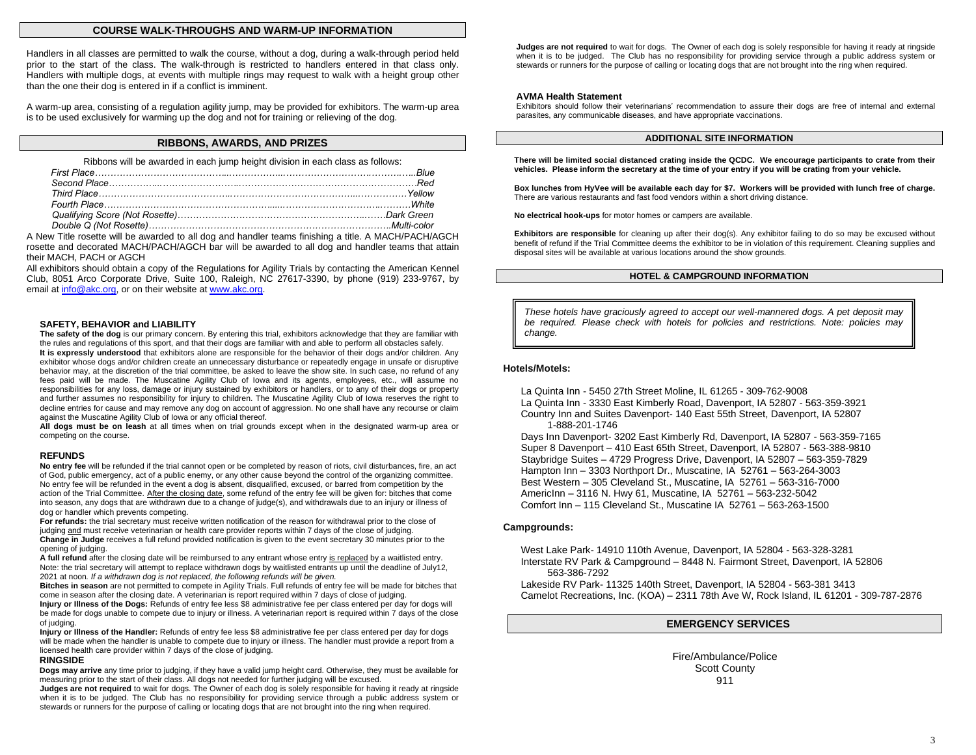#### **COURSE WALK-THROUGHS AND WARM-UP INFORMATION**

Handlers in all classes are permitted to walk the course, without a dog, during a walk-through period held prior to the start of the class. The walk-through is restricted to handlers entered in that class only. Handlers with multiple dogs, at events with multiple rings may request to walk with a height group other than the one their dog is entered in if a conflict is imminent.

A warm-up area, consisting of a regulation agility jump, may be provided for exhibitors. The warm-up area is to be used exclusively for warming up the dog and not for training or relieving of the dog.

### **RIBBONS, AWARDS, AND PRIZES**

Ribbons will be awarded in each jump height division in each class as follows:

A New Title rosette will be awarded to all dog and handler teams finishing a title. A MACH/PACH/AGCH rosette and decorated MACH/PACH/AGCH bar will be awarded to all dog and handler teams that attain their MACH, PACH or AGCH

All exhibitors should obtain a copy of the Regulations for Agility Trials by contacting the American Kennel Club, 8051 Arco Corporate Drive, Suite 100, Raleigh, NC 27617-3390, by phone (919) 233-9767, by email at [info@akc.org,](mailto:info@akc.org) or on their website a[t www.akc.org.](http://www.akc.org/)

#### **SAFETY, BEHAVIOR and LIABILITY**

**The safety of the dog** is our primary concern. By entering this trial, exhibitors acknowledge that they are familiar with the rules and regulations of this sport, and that their dogs are familiar with and able to perform all obstacles safely. **It is expressly understood** that exhibitors alone are responsible for the behavior of their dogs and/or children. Any exhibitor whose dogs and/or children create an unnecessary disturbance or repeatedly engage in unsafe or disruptive behavior may, at the discretion of the trial committee, be asked to leave the show site. In such case, no refund of any fees paid will be made. The Muscatine Agility Club of Iowa and its agents, employees, etc., will assume no responsibilities for any loss, damage or injury sustained by exhibitors or handlers, or to any of their dogs or property and further assumes no responsibility for injury to children. The Muscatine Agility Club of Iowa reserves the right to decline entries for cause and may remove any dog on account of aggression. No one shall have any recourse or claim against the Muscatine Agility Club of Iowa or any official thereof.

**All dogs must be on leash** at all times when on trial grounds except when in the designated warm-up area or competing on the course.

#### **REFUNDS**

**No entry fee** will be refunded if the trial cannot open or be completed by reason of riots, civil disturbances, fire, an act of God, public emergency, act of a public enemy, or any other cause beyond the control of the organizing committee. No entry fee will be refunded in the event a dog is absent, disqualified, excused, or barred from competition by the action of the Trial Committee. After the closing date, some refund of the entry fee will be given for: bitches that come into season, any dogs that are withdrawn due to a change of judge(s), and withdrawals due to an injury or illness of dog or handler which prevents competing.

**For refunds:** the trial secretary must receive written notification of the reason for withdrawal prior to the close of judging and must receive veterinarian or health care provider reports within 7 days of the close of judging. **Change in Judge** receives a full refund provided notification is given to the event secretary 30 minutes prior to the opening of judging.

**A full refund** after the closing date will be reimbursed to any entrant whose entry is replaced by a waitlisted entry. Note: the trial secretary will attempt to replace withdrawn dogs by waitlisted entrants up until the deadline of July12, 2021 at noon*. If a withdrawn dog is not replaced, the following refunds will be given.*

**Bitches in season** are not permitted to compete in Agility Trials. Full refunds of entry fee will be made for bitches that come in season after the closing date. A veterinarian is report required within 7 days of close of judging.

**Injury or Illness of the Dogs:** Refunds of entry fee less \$8 administrative fee per class entered per day for dogs will be made for dogs unable to compete due to injury or illness. A veterinarian report is required within 7 days of the close of judging.

**Injury or Illness of the Handler:** Refunds of entry fee less \$8 administrative fee per class entered per day for dogs will be made when the handler is unable to compete due to injury or illness. The handler must provide a report from a licensed health care provider within 7 days of the close of judging.

#### **RINGSIDE**

**Dogs may arrive** any time prior to judging, if they have a valid jump height card. Otherwise, they must be available for measuring prior to the start of their class. All dogs not needed for further judging will be excused.

**Judges are not required** to wait for dogs. The Owner of each dog is solely responsible for having it ready at ringside when it is to be judged. The Club has no responsibility for providing service through a public address system or stewards or runners for the purpose of calling or locating dogs that are not brought into the ring when required.

**Judges are not required** to wait for dogs. The Owner of each dog is solely responsible for having it ready at ringside when it is to be judged. The Club has no responsibility for providing service through a public address system or stewards or runners for the purpose of calling or locating dogs that are not brought into the ring when required.

### **AVMA Health Statement**

Exhibitors should follow their veterinarians' recommendation to assure their dogs are free of internal and external parasites, any communicable diseases, and have appropriate vaccinations.

#### **ADDITIONAL SITE INFORMATION**

**There will be limited social distanced crating inside the QCDC. We encourage participants to crate from their vehicles. Please inform the secretary at the time of your entry if you will be crating from your vehicle.**

**Box lunches from HyVee will be available each day for \$7. Workers will be provided with lunch free of charge.** There are various restaurants and fast food vendors within a short driving distance.

**No electrical hook-ups** for motor homes or campers are available.

**Exhibitors are responsible** for cleaning up after their dog(s). Any exhibitor failing to do so may be excused without benefit of refund if the Trial Committee deems the exhibitor to be in violation of this requirement. Cleaning supplies and disposal sites will be available at various locations around the show grounds.

#### **HOTEL & CAMPGROUND INFORMATION**

*These hotels have graciously agreed to accept our well-mannered dogs. A pet deposit may be required. Please check with hotels for policies and restrictions. Note: policies may change.*

#### **Hotels/Motels:**

La Quinta Inn - 5450 27th Street Moline, IL 61265 - 309-762-9008

La Quinta Inn - 3330 East Kimberly Road, Davenport, IA 52807 - 563-359-3921

Country Inn and Suites Davenport- 140 East 55th Street, Davenport, IA 52807 1-888-201-1746

Days Inn Davenport- 3202 East Kimberly Rd, Davenport, IA 52807 - 563-359-7165 Super 8 Davenport – 410 East 65th Street, Davenport, IA 52807 - 563-388-9810 Staybridge Suites – 4729 Progress Drive, Davenport, IA 52807 – 563-359-7829 Hampton Inn – 3303 Northport Dr., Muscatine, IA 52761 – 563-264-3003 Best Western – 305 Cleveland St., Muscatine, IA 52761 – 563-316-7000 AmericInn – 3116 N. Hwy 61, Muscatine, IA 52761 – 563-232-5042 Comfort Inn – 115 Cleveland St., Muscatine IA 52761 – 563-263-1500

#### **Campgrounds:**

West Lake Park- 14910 110th Avenue, Davenport, IA 52804 - 563-328-3281 Interstate RV Park & Campground – 8448 N. Fairmont Street, Davenport, IA 52806 563-386-7292

Lakeside RV Park- 11325 140th Street, Davenport, IA 52804 - 563-381 3413 Camelot Recreations, Inc. (KOA) – 2311 78th Ave W, Rock Island, IL 61201 - 309-787-2876

## **EMERGENCY SERVICES**

Fire/Ambulance/Police Scott County 911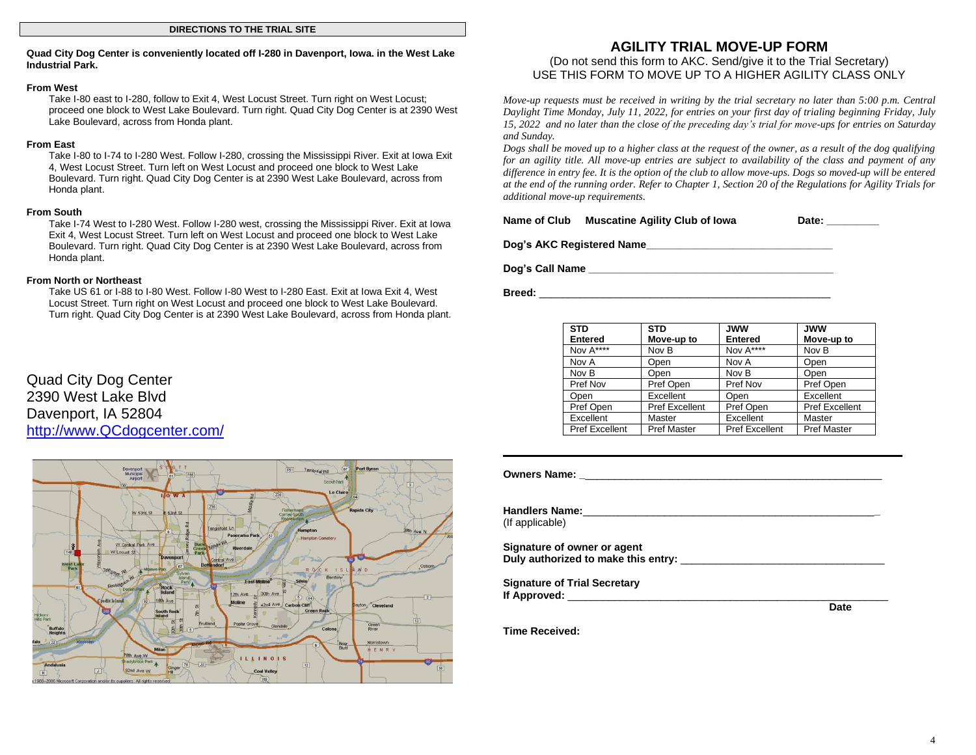### **Quad City Dog Center is conveniently located off I-280 in Davenport, Iowa. in the West Lake Industrial Park.**

#### **From West**

Take I-80 east to I-280, follow to Exit 4, West Locust Street. Turn right on West Locust; proceed one block to West Lake Boulevard. Turn right. Quad City Dog Center is at 2390 West Lake Boulevard, across from Honda plant.

## **From East**

Take I-80 to I-74 to I-280 West. Follow I-280, crossing the Mississippi River. Exit at Iowa Exit 4, West Locust Street. Turn left on West Locust and proceed one block to West Lake Boulevard. Turn right. Quad City Dog Center is at 2390 West Lake Boulevard, across from Honda plant.

## **From South**

Take I-74 West to I-280 West. Follow I-280 west, crossing the Mississippi River. Exit at Iowa Exit 4, West Locust Street. Turn left on West Locust and proceed one block to West Lake Boulevard. Turn right. Quad City Dog Center is at 2390 West Lake Boulevard, across from Honda plant.

## **From North or Northeast**

Take US 61 or I-88 to I-80 West. Follow I-80 West to I-280 East. Exit at Iowa Exit 4, West Locust Street. Turn right on West Locust and proceed one block to West Lake Boulevard. Turn right. Quad City Dog Center is at 2390 West Lake Boulevard, across from Honda plant.

# Quad City Dog Center 2390 West Lake Blvd Davenport, IA 52804 [http://www.QCdogcenter.com/](http://www.qcdogcenter.com/)



## **AGILITY TRIAL MOVE-UP FORM** (Do not send this form to AKC. Send/give it to the Trial Secretary) USE THIS FORM TO MOVE UP TO A HIGHER AGILITY CLASS ONLY

*Move-up requests must be received in writing by the trial secretary no later than 5:00 p.m. Central Daylight Time Monday, July 11, 2022, for entries on your first day of trialing beginning Friday, July 15, 2022 and no later than the close of the preceding day's trial for move-ups for entries on Saturday and Sunday.*

*Dogs shall be moved up to a higher class at the request of the owner, as a result of the dog qualifying for an agility title. All move-up entries are subject to availability of the class and payment of any difference in entry fee. It is the option of the club to allow move-ups. Dogs so moved-up will be entered at the end of the running order. Refer to Chapter 1, Section 20 of the Regulations for Agility Trials for additional move-up requirements.* 

| Name of Club | <b>Muscatine Agility Club of Iowa</b> | Date: |
|--------------|---------------------------------------|-------|
|--------------|---------------------------------------|-------|

**Dog's AKC Registered Name\_\_\_\_\_\_\_\_\_\_\_\_\_\_\_\_\_\_\_\_\_\_\_\_\_\_\_\_\_\_\_\_**

**Dog's Call Name \_\_\_\_\_\_\_\_\_\_\_\_\_\_\_\_\_\_\_\_\_\_\_\_\_\_\_\_\_\_\_\_\_\_\_\_\_\_\_\_\_\_**

**Breed:** \_\_\_\_\_\_\_\_\_\_\_\_\_\_\_\_\_\_\_\_\_\_\_\_\_\_\_\_\_\_\_\_\_\_\_\_\_\_\_\_\_\_\_\_\_\_\_\_\_\_

| <b>STD</b><br><b>Entered</b> | <b>STD</b><br>Move-up to | <b>JWW</b><br><b>Entered</b> | <b>JWW</b><br>Move-up to |
|------------------------------|--------------------------|------------------------------|--------------------------|
| Nov A****                    | Nov B                    | Nov A****                    | Nov B                    |
| Nov A                        | Open                     | Nov A                        | Open                     |
| Nov B                        | Open                     | Nov B                        | Open                     |
| Pref Nov                     | Pref Open                | Pref Nov                     | Pref Open                |
| Open                         | Excellent                | Open                         | Excellent                |
| Pref Open                    | <b>Pref Excellent</b>    | Pref Open                    | <b>Pref Excellent</b>    |
| Excellent                    | Master                   | Excellent                    | Master                   |
| <b>Pref Excellent</b>        | <b>Pref Master</b>       | <b>Pref Excellent</b>        | <b>Pref Master</b>       |

| (If applicable)                                                                                                                                                                                                                     |             |
|-------------------------------------------------------------------------------------------------------------------------------------------------------------------------------------------------------------------------------------|-------------|
| Signature of owner or agent<br>Duly authorized to make this entry: Duly authorized: the control of the control of the control of the control o                                                                                      |             |
| <b>Signature of Trial Secretary</b>                                                                                                                                                                                                 |             |
| <b>If Approved:</b> The Contract of the Contract of the Contract of the Contract of the Contract of the Contract of the Contract of the Contract of the Contract of the Contract of the Contract of the Contract of the Contract of | <b>Date</b> |
| Time Received:                                                                                                                                                                                                                      |             |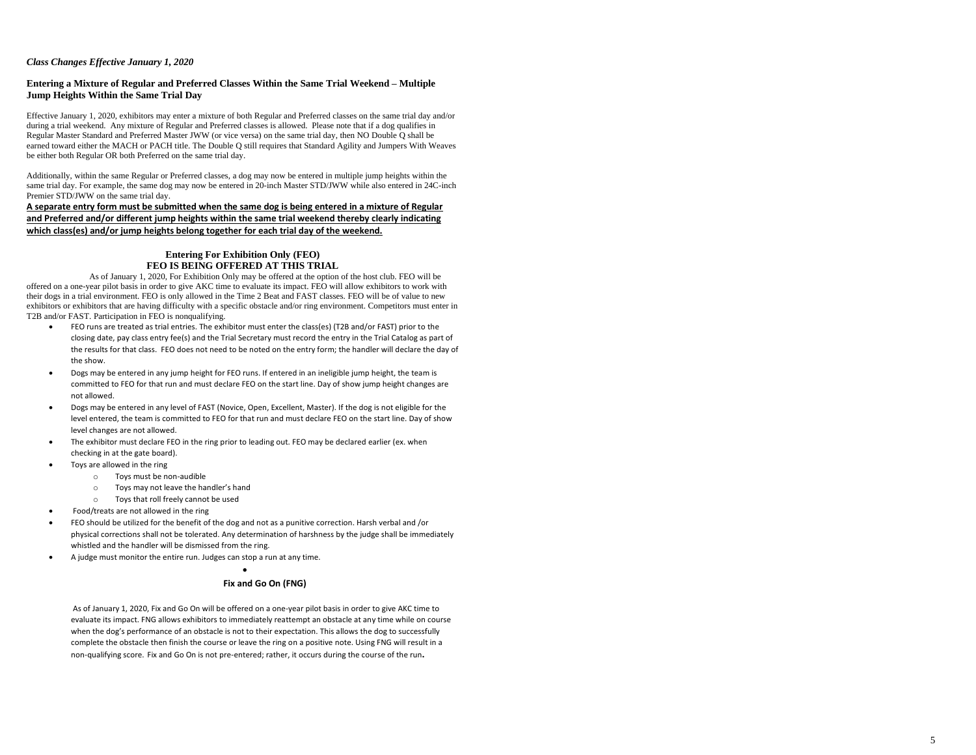## *Class Changes Effective January 1, 2020*

#### **Entering a Mixture of Regular and Preferred Classes Within the Same Trial Weekend – Multiple Jump Heights Within the Same Trial Day**

Effective January 1, 2020, exhibitors may enter a mixture of both Re gular and Preferred classes on the same trial day and/or during a trial weekend. Any mixture of Regular and Preferred classes is allowed. Please note that if a dog qualifies in Regular Master Standard and Preferred Master JWW (or vice versa) on the same trial day, then NO Double Q shall be earned toward either the MACH or PACH title. The Double Q still requires that Standar d Agility and Jumpers With Weaves be either both Regular OR both Preferred on the same trial day.

Additionally, within the same Reg ular or Preferred classes, a dog may now be entered in multiple jump heights within the same trial day. For example, the same dog may now be entered in 20-inch Master STD/JWW while also entered in 24C-inch Premier STD/JWW on the same trial day.

**A separat e entry form must be submitted when the same dog is being entered in a mixture of Regular and Preferred and/or different j ump heights within the same trial weekend thereby clearly indicating which class(es) and/or jump heights belong together for each tria l day of the weekend.**

#### **Entering For Exhibition Only (FEO) FEO IS BEING OFFERED AT THIS TRIAL**

As of January 1, 2020, For Exhibition Only may be offered at the option of the host club. FEO will be offered on a one -year pilot basi s in order to give AKC time to evaluate its impact. FEO will allow exhibitors to work with their dogs in a trial environment. FEO is only allowed in the Time 2 Beat and FAST classes. FEO will be of value to new exhibitors or exhibitors that are having difficulty with a specific obstacle and/or ring environment. Competitors must enter in T2B and/or FAST. Participation in FEO i s nonqualifying.

- FEO runs are treated as trial entries. The exhibitor must enter the class(es) (T2B and/or FAST) prior to the closing date, pay class entry fee(s) and the Trial Secretary must record the entry in the Trial Catalog as part of the results fo r that class. FEO does not need to be noted on the entry form; the handler will declare the day of the show.
- Dogs may be entered in any jump height for FEO runs. If entered in an ineligible jump height, the team is committed to FEO for that run and must declare FEO on the start line. Day of show jump height changes are not allowed.
- Dogs may be entered in any level of FAST (Novice, Ope n, Excellent, Master). If the dog is not eligible for the level entered, the team is committed to FEO for that run and mus t declare FEO on the start line. Day of show level changes are not allowed.
- The exhibitor must declare FEO in the ring prior to leading out. FEO may be declared earlier (ex. when checking in at the gate board).
- Toys are allowed in the ring
	- o Toys must be non -audible
	- o Toys may not leave the handler's hand
	- o Toys that roll freely cannot be used
- Food/treats are not allowed in the ring
- FEO should be utilized for the benefit of the dog and not as a punitive correction. Harsh verbal and /or physical corrections shall not be tolerated. Any determination of harshness by the judge shall be immediately whistled and the handler will be dismissed from the ring.

•

• A judge must monitor the entire run. Judges can stop a run at any time.

#### **Fix and Go On (FNG)**

As of Janu ary 1, 2020, Fix and Go On will be offered on a one -year pilot basis in order to give AKC time to evaluate its impact. FNG allows exhibitors to immediately reattempt an obstacle at any time while on course when the dog's performance of an obstacle is not to their expectation. This allows the dog to successfully complete the obstacle then finish the course or leave the ring on a positive note. Using FNG will result in a non-qualifying score. Fix and Go On is not pre-entered; rather, it occurs during the course of the run.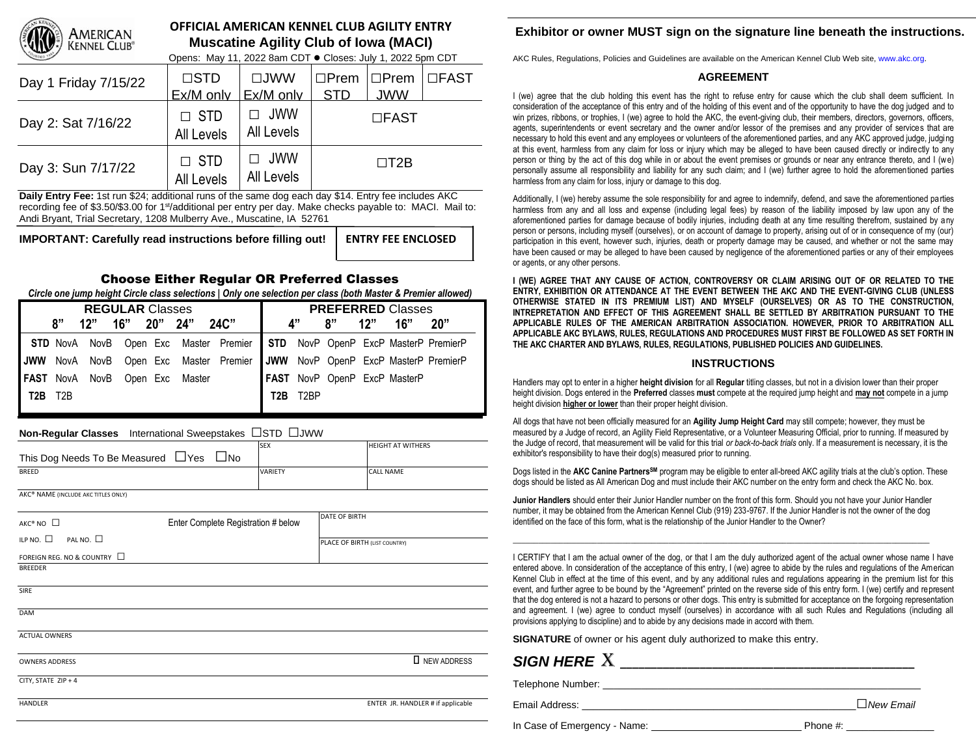

# **OFFICIAL AMERICAN KENNEL CLUB AGILITY ENTRY Muscatine Agility Club of Iowa (MACI)**

Opens: May 11, 2022 8am CDT **●** Closes: July 1, 2022 5pm CDT

| Day 1 Friday 7/15/22 | $\Box$ STD<br>Ex/M only  | $\Box$ JWW<br>Ex/M only  | $\Box$ Prem<br><b>STD</b> | $\Box$ Prem<br><b>JWW</b> | $\Box$ <i>FAST</i> |
|----------------------|--------------------------|--------------------------|---------------------------|---------------------------|--------------------|
| Day 2: Sat 7/16/22   | $\Box$ STD<br>All Levels | JWW<br>All Levels        |                           | $\Box$ FAST               |                    |
| Day 3: Sun 7/17/22   | $\Box$ STD<br>All Levels | $\Box$ JWW<br>All Levels |                           | $\Box$ T2B                |                    |

**Daily Entry Fee:** 1st run \$24; additional runs of the same dog each day \$14. Entry fee includes AKC recording fee of \$3.50/\$3.00 for 1<sup>st</sup>/additional per entry per day. Make checks payable to: MACI. Mail to: Andi Bryant, Trial Secretary, 1208 Mulberry Ave., Muscatine, IA 52761

**IMPORTANT: Carefully read instructions before filling out! ENTRY FEE ENCLOSED**

# Choose Either Regular OR Preferred Classes

*Circle one jump height Circle class selections | Only one selection per class (both Master & Premier allowed)*

| <b>REGULAR Classes</b> |    |     |  |  |                                |                                                                            |          |    | <b>PREFERRED Classes</b> |     |                              |     |
|------------------------|----|-----|--|--|--------------------------------|----------------------------------------------------------------------------|----------|----|--------------------------|-----|------------------------------|-----|
|                        | 8" | 12" |  |  | 16" 20" 24" 24C"               |                                                                            |          | Δ" | 8"                       | 12" | 16"                          | 20" |
|                        |    |     |  |  |                                | STD NovA NovB Open Exc Master Premier STD NovP OpenP ExcP MasterP PremierP |          |    |                          |     |                              |     |
|                        |    |     |  |  |                                | JWW NovA NovB Open Exc Master Premier JWW NovP OpenP ExcP MasterP PremierP |          |    |                          |     |                              |     |
|                        |    |     |  |  | FAST NovA NovB Open Exc Master |                                                                            |          |    |                          |     | FAST NovP OpenP ExcP MasterP |     |
| <b>T2B</b> T2B         |    |     |  |  |                                |                                                                            | T2B T2BP |    |                          |     |                              |     |
|                        |    |     |  |  |                                |                                                                            |          |    |                          |     |                              |     |

# **Non-Regular Classes** International Sweepstakes □STD □JWW

|                                                    | <b>SEX</b>     | <b>HEIGHT AT WITHERS</b> |
|----------------------------------------------------|----------------|--------------------------|
| This Dog Needs To Be Measured $\Box$ Yes $\Box$ No |                |                          |
| <b>BREED</b>                                       | <b>VARIETY</b> | <b>CALL NAME</b>         |
|                                                    |                |                          |
| AKC® NAME (INCLUDE AKC TITLES ONLY)                |                |                          |
|                                                    |                |                          |

| AKC® NO □                              | Enter Complete Registration # below | DATE OF BIRTH                     |  |  |
|----------------------------------------|-------------------------------------|-----------------------------------|--|--|
| PAL NO. $\square$<br>ILP NO. $\square$ |                                     | PLACE OF BIRTH (LIST COUNTRY)     |  |  |
| FOREIGN REG. NO & COUNTRY □            |                                     |                                   |  |  |
| <b>BREEDER</b>                         |                                     |                                   |  |  |
| <b>SIRE</b>                            |                                     |                                   |  |  |
| DAM                                    |                                     |                                   |  |  |
| <b>ACTUAL OWNERS</b>                   |                                     |                                   |  |  |
| <b>OWNERS ADDRESS</b>                  |                                     | <b>I</b> NEW ADDRESS              |  |  |
| CITY, STATE ZIP + 4                    |                                     |                                   |  |  |
| <b>HANDLER</b>                         |                                     | ENTER JR. HANDLER # if applicable |  |  |

# **Exhibitor or owner MUST sign on the signature line beneath the instructions.**

AKC Rules, Regulations, Policies and Guidelines are available on the American Kennel Club Web site, www.akc.org.

# **AGREEMENT**

I (we) agree that the club holding this event has the right to refuse entry for cause which the club shall deem sufficient. In consideration of the acceptance of this entry and of the holding of this event and of the opportunity to have the dog judged and to win prizes, ribbons, or trophies, I (we) agree to hold the AKC, the event-giving club, their members, directors, governors, officers, agents, superintendents or event secretary and the owner and/or lessor of the premises and any provider of services that are necessary to hold this event and any employees or volunteers of the aforementioned parties, and any AKC approved judge, judging at this event, harmless from any claim for loss or injury which may be alleged to have been caused directly or indirectly to any person or thing by the act of this dog while in or about the event premises or grounds or near any entrance thereto, and I (we) personally assume all responsibility and liability for any such claim; and I (we) further agree to hold the aforementioned parties harmless from any claim for loss, injury or damage to this dog.

Additionally, I (we) hereby assume the sole responsibility for and agree to indemnify, defend, and save the aforementioned parties harmless from any and all loss and expense (including legal fees) by reason of the liability imposed by law upon any of the aforementioned parties for damage because of bodily injuries, including death at any time resulting therefrom, sustained by any person or persons, including myself (ourselves), or on account of damage to property, arising out of or in consequence of my (our) participation in this event, however such, injuries, death or property damage may be caused, and whether or not the same may have been caused or may be alleged to have been caused by negligence of the aforementioned parties or any of their employees or agents, or any other persons.

**I (WE) AGREE THAT ANY CAUSE OF ACTION, CONTROVERSY OR CLAIM ARISING OUT OF OR RELATED TO THE ENTRY, EXHIBITION OR ATTENDANCE AT THE EVENT BETWEEN THE AKC AND THE EVENT-GIVING CLUB (UNLESS OTHERWISE STATED IN ITS PREMIUM LIST) AND MYSELF (OURSELVES) OR AS TO THE CONSTRUCTION, INTREPRETATION AND EFFECT OF THIS AGREEMENT SHALL BE SETTLED BY ARBITRATION PURSUANT TO THE APPLICABLE RULES OF THE AMERICAN ARBITRATION ASSOCIATION. HOWEVER, PRIOR TO ARBITRATION ALL APPLICABLE AKC BYLAWS, RULES, REGULATIONS AND PROCEDURES MUST FIRST BE FOLLOWED AS SET FORTH IN THE AKC CHARTER AND BYLAWS, RULES, REGULATIONS, PUBLISHED POLICIES AND GUIDELINES.** 

## **INSTRUCTIONS**

Handlers may opt to enter in a higher **height division** for all **Regular** titling classes, but not in a division lower than their proper height division. Dogs entered in the **Preferred** classes **must** compete at the required jump height and **may not** compete in a jump height division **higher or lower** than their proper height division.

All dogs that have not been officially measured for an **Agility Jump Height Card** may still compete; however, they must be measured by *a* Judge of record, an Agility Field Representative, or a Volunteer Measuring Official, prior to running. If measured by the Judge of record, that measurement will be valid for this trial *or back-to-back trials* only. If a measurement is necessary, it is the exhibitor's responsibility to have their dog(s) measured prior to running.

Dogs listed in the **AKC Canine PartnersSM** program may be eligible to enter all-breed AKC agility trials at the club's option. These dogs should be listed as All American Dog and must include their AKC number on the entry form and check the AKC No. box.

**Junior Handlers** should enter their Junior Handler number on the front of this form. Should you not have your Junior Handler number, it may be obtained from the American Kennel Club (919) 233-9767. If the Junior Handler is not the owner of the dog identified on the face of this form, what is the relationship of the Junior Handler to the Owner?

\_\_\_\_\_\_\_\_\_\_\_\_\_\_\_\_\_\_\_\_\_\_\_\_\_\_\_\_\_\_\_\_\_\_\_\_\_\_\_\_\_\_\_\_\_\_\_\_\_\_\_\_\_\_\_\_\_\_\_\_\_\_\_\_\_\_\_\_\_\_\_\_\_\_\_\_\_\_\_\_\_\_\_\_\_\_\_\_\_\_\_\_\_\_\_\_\_\_\_

I CERTIFY that I am the actual owner of the dog, or that I am the duly authorized agent of the actual owner whose name I have entered above. In consideration of the acceptance of this entry, I (we) agree to abide by the rules and regulations of the American Kennel Club in effect at the time of this event, and by any additional rules and regulations appearing in the premium list for this event, and further agree to be bound by the "Agreement" printed on the reverse side of this entry form. I (we) certify and represent that the dog entered is not a hazard to persons or other dogs. This entry is submitted for acceptance on the forgoing representation and agreement. I (we) agree to conduct myself (ourselves) in accordance with all such Rules and Regulations (including all provisions applying to discipline) and to abide by any decisions made in accord with them.

**SIGNATURE** of owner or his agent duly authorized to make this entry.

# *SIGN HERE* X **\_\_\_\_\_\_\_\_\_\_\_\_\_\_\_\_\_\_\_\_\_\_\_\_\_\_\_\_\_\_\_\_\_\_\_\_\_\_\_\_\_\_\_\_\_\_\_\_**

Telephone Number: \_\_\_\_\_\_\_\_\_\_\_\_\_\_\_\_\_\_\_\_\_\_\_\_\_\_\_\_\_\_\_\_\_\_\_\_\_\_\_\_\_\_\_\_\_\_\_\_\_\_\_\_\_\_\_\_\_\_

Email Address: \_\_\_\_\_\_\_\_\_\_\_\_\_\_\_\_\_\_\_\_\_\_\_\_\_\_\_\_\_\_\_\_\_\_\_\_\_\_\_\_\_\_\_\_\_\_\_\_\_\_□*New Email*

In Case of Emergency - Name: Phone #: \_\_\_\_\_\_\_\_\_\_\_\_\_\_\_\_